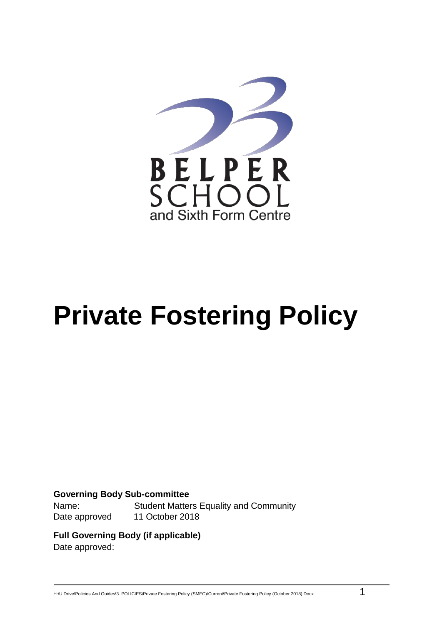

# **Private Fostering Policy**

#### **Governing Body Sub-committee**

Date approved 11 October 2018

Name: Student Matters Equality and Community

**Full Governing Body (if applicable)** Date approved:

H:\U Drive\Policies And Guides\3. POLICIES\Private Fostering Policy (SMEC)\Current\Private Fostering Policy (October 2018).Docx 1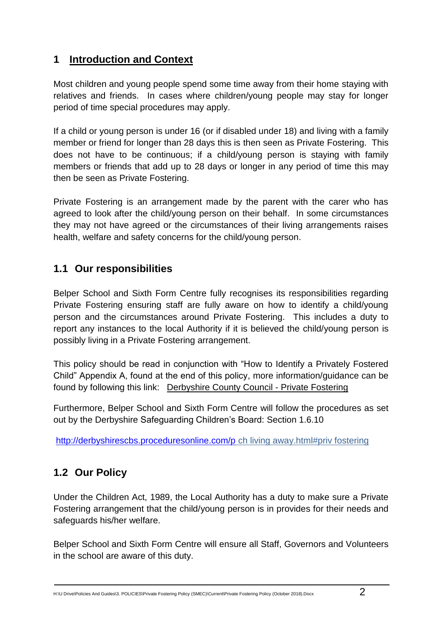## **1 Introduction and Context**

Most children and young people spend some time away from their home staying with relatives and friends. In cases where children/young people may stay for longer period of time special procedures may apply.

If a child or young person is under 16 (or if disabled under 18) and living with a family member or friend for longer than 28 days this is then seen as Private Fostering. This does not have to be continuous; if a child/young person is staying with family members or friends that add up to 28 days or longer in any period of time this may then be seen as Private Fostering.

Private Fostering is an arrangement made by the parent with the carer who has agreed to look after the child/young person on their behalf. In some circumstances they may not have agreed or the circumstances of their living arrangements raises health, welfare and safety concerns for the child/young person.

## **1.1 Our responsibilities**

Belper School and Sixth Form Centre fully recognises its responsibilities regarding Private Fostering ensuring staff are fully aware on how to identify a child/young person and the circumstances around Private Fostering. This includes a duty to report any instances to the local Authority if it is believed the child/young person is possibly living in a Private Fostering arrangement.

This policy should be read in conjunction with "How to Identify a Privately Fostered Child" Appendix A, found at the end of this policy, more information/guidance can be found by following this link: [Derbyshire County Council -](http://www.derbyshire.gov.uk/social_health/children_and_families/adoption_and_fostering/fostering/become_foster_carer/types_fostering/private_fostering/default.asp) Private Fostering

Furthermore, Belper School and Sixth Form Centre will follow the procedures as set out by the Derbyshire Safeguarding Children's Board: Section 1.6.10

<http://derbyshirescbs.proceduresonline.com/p> ch living away.html#priv fostering

# **1.2 Our Policy**

Under the Children Act, 1989, the Local Authority has a duty to make sure a Private Fostering arrangement that the child/young person is in provides for their needs and safeguards his/her welfare.

Belper School and Sixth Form Centre will ensure all Staff, Governors and Volunteers in the school are aware of this duty.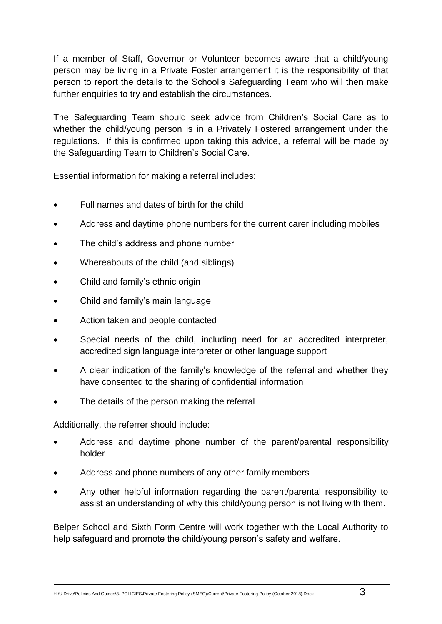If a member of Staff, Governor or Volunteer becomes aware that a child/young person may be living in a Private Foster arrangement it is the responsibility of that person to report the details to the School's Safeguarding Team who will then make further enquiries to try and establish the circumstances.

The Safeguarding Team should seek advice from Children's Social Care as to whether the child/young person is in a Privately Fostered arrangement under the regulations. If this is confirmed upon taking this advice, a referral will be made by the Safeguarding Team to Children's Social Care.

Essential information for making a referral includes:

- Full names and dates of birth for the child
- Address and daytime phone numbers for the current carer including mobiles
- The child's address and phone number
- Whereabouts of the child (and siblings)
- Child and family's ethnic origin
- Child and family's main language
- Action taken and people contacted
- Special needs of the child, including need for an accredited interpreter, accredited sign language interpreter or other language support
- A clear indication of the family's knowledge of the referral and whether they have consented to the sharing of confidential information
- The details of the person making the referral

Additionally, the referrer should include:

- Address and daytime phone number of the parent/parental responsibility holder
- Address and phone numbers of any other family members
- Any other helpful information regarding the parent/parental responsibility to assist an understanding of why this child/young person is not living with them.

Belper School and Sixth Form Centre will work together with the Local Authority to help safeguard and promote the child/young person's safety and welfare.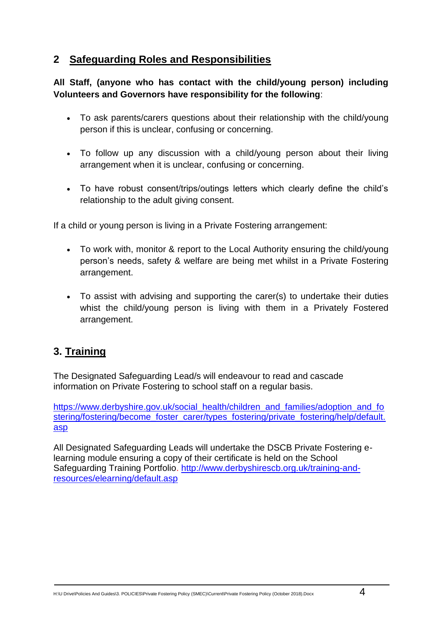## **2 Safeguarding Roles and Responsibilities**

#### **All Staff, (anyone who has contact with the child/young person) including Volunteers and Governors have responsibility for the following**:

- To ask parents/carers questions about their relationship with the child/young person if this is unclear, confusing or concerning.
- To follow up any discussion with a child/young person about their living arrangement when it is unclear, confusing or concerning.
- To have robust consent/trips/outings letters which clearly define the child's relationship to the adult giving consent.

If a child or young person is living in a Private Fostering arrangement:

- To work with, monitor & report to the Local Authority ensuring the child/young person's needs, safety & welfare are being met whilst in a Private Fostering arrangement.
- To assist with advising and supporting the carer(s) to undertake their duties whist the child/young person is living with them in a Privately Fostered arrangement.

# **3. Training**

The Designated Safeguarding Lead/s will endeavour to read and cascade information on Private Fostering to school staff on a regular basis.

[https://www.derbyshire.gov.uk/social\\_health/children\\_and\\_families/adoption\\_and\\_fo](https://www.derbyshire.gov.uk/social_health/children_and_families/adoption_and_fostering/fostering/become_foster_carer/types_fostering/private_fostering/help/default.asp) [stering/fostering/become\\_foster\\_carer/types\\_fostering/private\\_fostering/help/default.](https://www.derbyshire.gov.uk/social_health/children_and_families/adoption_and_fostering/fostering/become_foster_carer/types_fostering/private_fostering/help/default.asp) [asp](https://www.derbyshire.gov.uk/social_health/children_and_families/adoption_and_fostering/fostering/become_foster_carer/types_fostering/private_fostering/help/default.asp)

All Designated Safeguarding Leads will undertake the DSCB Private Fostering elearning module ensuring a copy of their certificate is held on the School Safeguarding Training Portfolio. [http://www.derbyshirescb.org.uk/training-and](http://www.derbyshirescb.org.uk/training-and-resources/elearning/default.asp)[resources/elearning/default.asp](http://www.derbyshirescb.org.uk/training-and-resources/elearning/default.asp)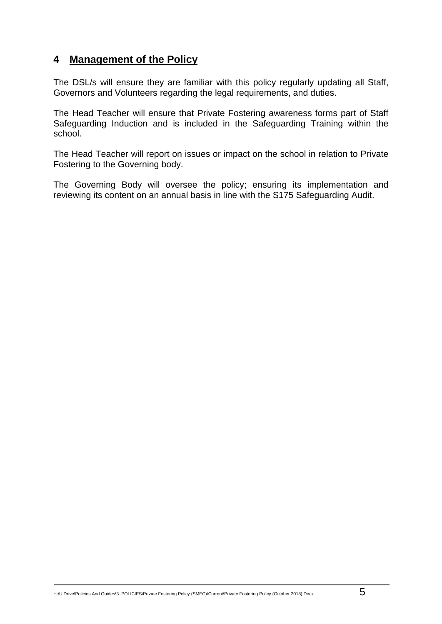### **4 Management of the Policy**

The DSL/s will ensure they are familiar with this policy regularly updating all Staff, Governors and Volunteers regarding the legal requirements, and duties.

The Head Teacher will ensure that Private Fostering awareness forms part of Staff Safeguarding Induction and is included in the Safeguarding Training within the school.

The Head Teacher will report on issues or impact on the school in relation to Private Fostering to the Governing body.

The Governing Body will oversee the policy; ensuring its implementation and reviewing its content on an annual basis in line with the S175 Safeguarding Audit.